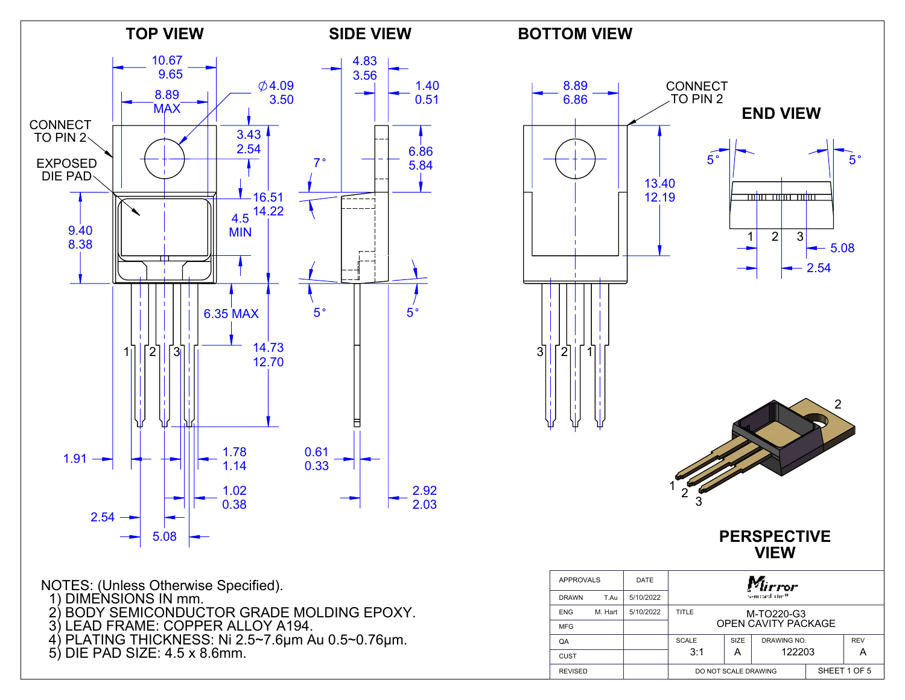



NOTES: (Unless Otherwise Specified).

- 1) DIMENSIONS IN mm.
- 2) BODY SEMICONDUCTOR GRADE MOLDING EPOXY.
- 3) LEAD FRAME: COPPER ALLOY A194.
- 4) PLATING THICKNESS: Ni 2.5~7.6μm Au 0.5~0.76μm.
- 5) DIE PAD SIZE: 4.5 x 8.6mm.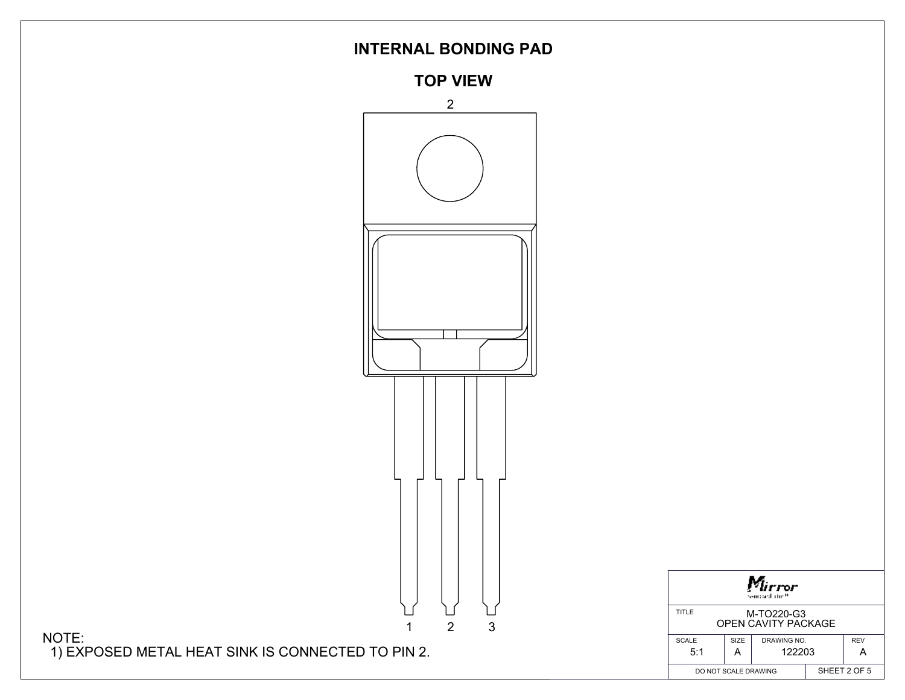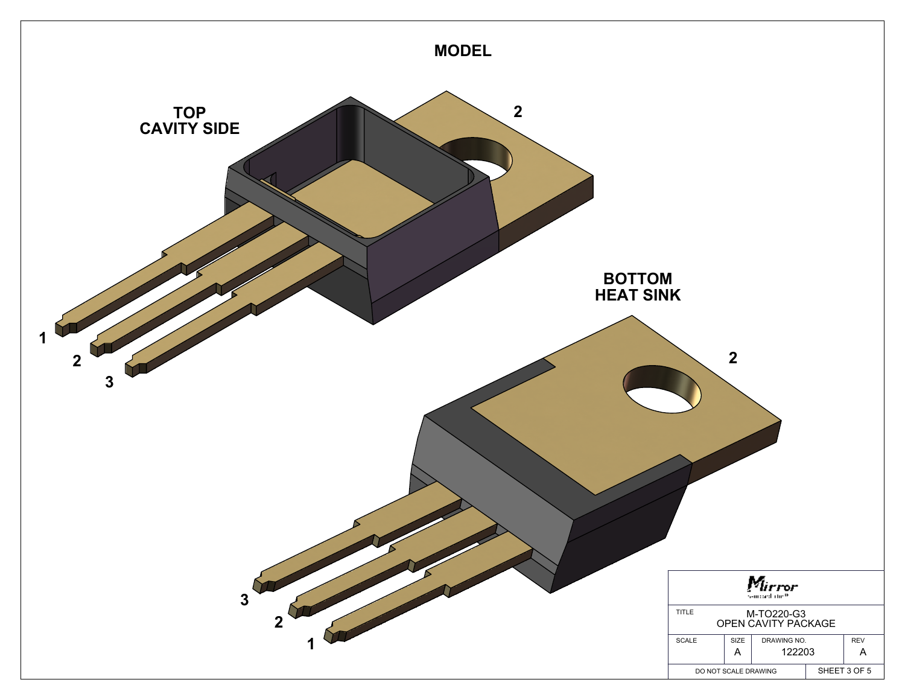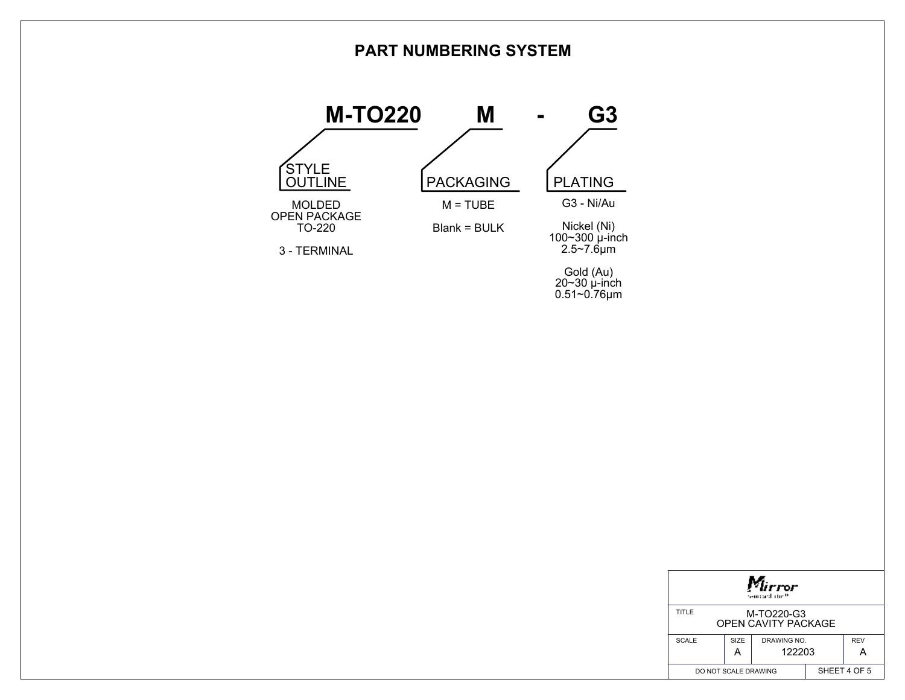## **PART NUMBERING SYSTEM**



| rror<br>sampard atm <sup>as</sup>                 |      |             |              |            |
|---------------------------------------------------|------|-------------|--------------|------------|
| TITLE<br>M-TO220-G3<br><b>OPEN CAVITY PACKAGE</b> |      |             |              |            |
| <b>SCALE</b>                                      | SIZE | DRAWING NO. |              | <b>REV</b> |
|                                                   | Α    | 122203      |              |            |
| DO NOT SCALE DRAWING                              |      |             | SHEET 4 OF 5 |            |